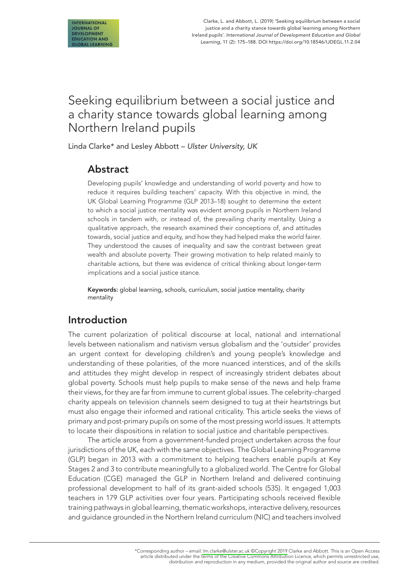# Seeking equilibrium between a social justice and a charity stance towards global learning among Northern Ireland pupils

Linda Clarke\* and Lesley Abbott – *Ulster University, UK*

# Abstract

Developing pupils' knowledge and understanding of world poverty and how to reduce it requires building teachers' capacity. With this objective in mind, the UK Global Learning Programme (GLP 2013–18) sought to determine the extent to which a social justice mentality was evident among pupils in Northern Ireland schools in tandem with, or instead of, the prevailing charity mentality. Using a qualitative approach, the research examined their conceptions of, and attitudes towards, social justice and equity, and how they had helped make the world fairer. They understood the causes of inequality and saw the contrast between great wealth and absolute poverty. Their growing motivation to help related mainly to charitable actions, but there was evidence of critical thinking about longer-term implications and a social justice stance.

Keywords: global learning, schools, curriculum, social justice mentality, charity mentality

# Introduction

The current polarization of political discourse at local, national and international levels between nationalism and nativism versus globalism and the 'outsider' provides an urgent context for developing children's and young people's knowledge and understanding of these polarities, of the more nuanced interstices, and of the skills and attitudes they might develop in respect of increasingly strident debates about global poverty. Schools must help pupils to make sense of the news and help frame their views, for they are far from immune to current global issues. The celebrity-charged charity appeals on television channels seem designed to tug at their heartstrings but must also engage their informed and rational criticality. This article seeks the views of primary and post-primary pupils on some of the most pressing world issues. It attempts to locate their dispositions in relation to social justice and charitable perspectives.

The article arose from a government-funded project undertaken across the four jurisdictions of the UK, each with the same objectives. The Global Learning Programme (GLP) began in 2013 with a commitment to helping teachers enable pupils at Key Stages 2 and 3 to contribute meaningfully to a globalized world. The Centre for Global Education (CGE) managed the GLP in Northern Ireland and delivered continuing professional development to half of its grant-aided schools (535). It engaged 1,003 teachers in 179 GLP activities over four years. Participating schools received flexible training pathways in global learning, thematic workshops, interactive delivery, resources and guidance grounded in the Northern Ireland curriculum (NIC) and teachers involved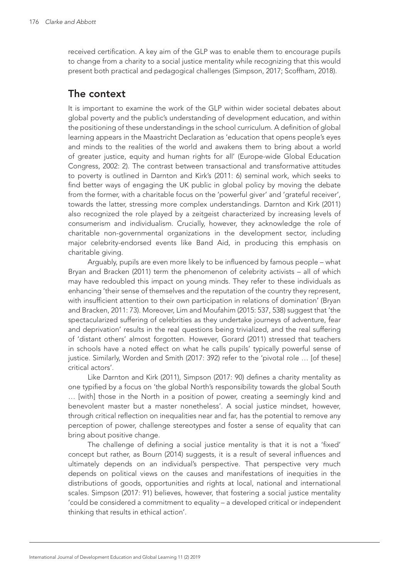received certification. A key aim of the GLP was to enable them to encourage pupils to change from a charity to a social justice mentality while recognizing that this would present both practical and pedagogical challenges (Simpson, 2017; Scoffham, 2018).

## The context

It is important to examine the work of the GLP within wider societal debates about global poverty and the public's understanding of development education, and within the positioning of these understandings in the school curriculum. A definition of global learning appears in the Maastricht Declaration as 'education that opens people's eyes and minds to the realities of the world and awakens them to bring about a world of greater justice, equity and human rights for all' (Europe-wide Global Education Congress, 2002: 2). The contrast between transactional and transformative attitudes to poverty is outlined in Darnton and Kirk's (2011: 6) seminal work, which seeks to find better ways of engaging the UK public in global policy by moving the debate from the former, with a charitable focus on the 'powerful giver' and 'grateful receiver', towards the latter, stressing more complex understandings. Darnton and Kirk (2011) also recognized the role played by a zeitgeist characterized by increasing levels of consumerism and individualism. Crucially, however, they acknowledge the role of charitable non-governmental organizations in the development sector, including major celebrity-endorsed events like Band Aid, in producing this emphasis on charitable giving.

Arguably, pupils are even more likely to be influenced by famous people – what Bryan and Bracken (2011) term the phenomenon of celebrity activists – all of which may have redoubled this impact on young minds. They refer to these individuals as enhancing 'their sense of themselves and the reputation of the country they represent, with insufficient attention to their own participation in relations of domination' (Bryan and Bracken, 2011: 73). Moreover, Lim and Moufahim (2015: 537, 538) suggest that 'the spectacularized suffering of celebrities as they undertake journeys of adventure, fear and deprivation' results in the real questions being trivialized, and the real suffering of 'distant others' almost forgotten. However, Gorard (2011) stressed that teachers in schools have a noted effect on what he calls pupils' typically powerful sense of justice. Similarly, Worden and Smith (2017: 392) refer to the 'pivotal role … [of these] critical actors'.

Like Darnton and Kirk (2011), Simpson (2017: 90) defines a charity mentality as one typified by a focus on 'the global North's responsibility towards the global South … [with] those in the North in a position of power, creating a seemingly kind and benevolent master but a master nonetheless'. A social justice mindset, however, through critical reflection on inequalities near and far, has the potential to remove any perception of power, challenge stereotypes and foster a sense of equality that can bring about positive change.

The challenge of defining a social justice mentality is that it is not a 'fixed' concept but rather, as Bourn (2014) suggests, it is a result of several influences and ultimately depends on an individual's perspective. That perspective very much depends on political views on the causes and manifestations of inequities in the distributions of goods, opportunities and rights at local, national and international scales. Simpson (2017: 91) believes, however, that fostering a social justice mentality 'could be considered a commitment to equality – a developed critical or independent thinking that results in ethical action'.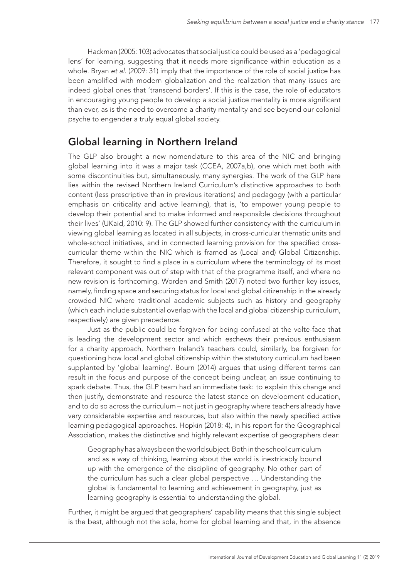Hackman (2005: 103) advocates that social justice could be used as a 'pedagogical lens' for learning, suggesting that it needs more significance within education as a whole. Bryan *et al*. (2009: 31) imply that the importance of the role of social justice has been amplified with modern globalization and the realization that many issues are indeed global ones that 'transcend borders'. If this is the case, the role of educators in encouraging young people to develop a social justice mentality is more significant than ever, as is the need to overcome a charity mentality and see beyond our colonial psyche to engender a truly equal global society.

# Global learning in Northern Ireland

The GLP also brought a new nomenclature to this area of the NIC and bringing global learning into it was a major task (CCEA, 2007a,b), one which met both with some discontinuities but, simultaneously, many synergies. The work of the GLP here lies within the revised Northern Ireland Curriculum's distinctive approaches to both content (less prescriptive than in previous iterations) and pedagogy (with a particular emphasis on criticality and active learning), that is, 'to empower young people to develop their potential and to make informed and responsible decisions throughout their lives' (UKaid, 2010: 9). The GLP showed further consistency with the curriculum in viewing global learning as located in all subjects, in cross-curricular thematic units and whole-school initiatives, and in connected learning provision for the specified crosscurricular theme within the NIC which is framed as (Local and) Global Citizenship. Therefore, it sought to find a place in a curriculum where the terminology of its most relevant component was out of step with that of the programme itself, and where no new revision is forthcoming. Worden and Smith (2017) noted two further key issues, namely, finding space and securing status for local and global citizenship in the already crowded NIC where traditional academic subjects such as history and geography (which each include substantial overlap with the local and global citizenship curriculum, respectively) are given precedence.

Just as the public could be forgiven for being confused at the volte-face that is leading the development sector and which eschews their previous enthusiasm for a charity approach, Northern Ireland's teachers could, similarly, be forgiven for questioning how local and global citizenship within the statutory curriculum had been supplanted by 'global learning'. Bourn (2014) argues that using different terms can result in the focus and purpose of the concept being unclear, an issue continuing to spark debate. Thus, the GLP team had an immediate task: to explain this change and then justify, demonstrate and resource the latest stance on development education, and to do so across the curriculum – not just in geography where teachers already have very considerable expertise and resources, but also within the newly specified active learning pedagogical approaches. Hopkin (2018: 4), in his report for the Geographical Association, makes the distinctive and highly relevant expertise of geographers clear:

Geography has always been the world subject. Both in the school curriculum and as a way of thinking, learning about the world is inextricably bound up with the emergence of the discipline of geography. No other part of the curriculum has such a clear global perspective … Understanding the global is fundamental to learning and achievement in geography, just as learning geography is essential to understanding the global.

Further, it might be argued that geographers' capability means that this single subject is the best, although not the sole, home for global learning and that, in the absence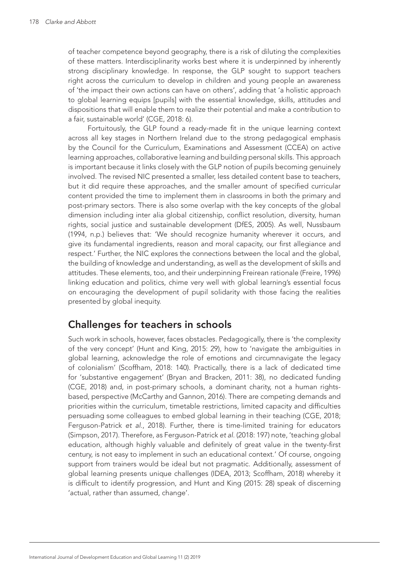of teacher competence beyond geography, there is a risk of diluting the complexities of these matters. Interdisciplinarity works best where it is underpinned by inherently strong disciplinary knowledge. In response, the GLP sought to support teachers right across the curriculum to develop in children and young people an awareness of 'the impact their own actions can have on others', adding that 'a holistic approach to global learning equips [pupils] with the essential knowledge, skills, attitudes and dispositions that will enable them to realize their potential and make a contribution to a fair, sustainable world' (CGE, 2018: 6).

Fortuitously, the GLP found a ready-made fit in the unique learning context across all key stages in Northern Ireland due to the strong pedagogical emphasis by the Council for the Curriculum, Examinations and Assessment (CCEA) on active learning approaches, collaborative learning and building personal skills. This approach is important because it links closely with the GLP notion of pupils becoming genuinely involved. The revised NIC presented a smaller, less detailed content base to teachers, but it did require these approaches, and the smaller amount of specified curricular content provided the time to implement them in classrooms in both the primary and post-primary sectors. There is also some overlap with the key concepts of the global dimension including inter alia global citizenship, conflict resolution, diversity, human rights, social justice and sustainable development (DfES, 2005). As well, Nussbaum (1994, n.p.) believes that: 'We should recognize humanity wherever it occurs, and give its fundamental ingredients, reason and moral capacity, our first allegiance and respect.' Further, the NIC explores the connections between the local and the global, the building of knowledge and understanding, as well as the development of skills and attitudes. These elements, too, and their underpinning Freirean rationale (Freire, 1996) linking education and politics, chime very well with global learning's essential focus on encouraging the development of pupil solidarity with those facing the realities presented by global inequity.

# Challenges for teachers in schools

Such work in schools, however, faces obstacles. Pedagogically, there is 'the complexity of the very concept' (Hunt and King, 2015: 29), how to 'navigate the ambiguities in global learning, acknowledge the role of emotions and circumnavigate the legacy of colonialism' (Scoffham, 2018: 140). Practically, there is a lack of dedicated time for 'substantive engagement' (Bryan and Bracken, 2011: 38), no dedicated funding (CGE, 2018) and, in post-primary schools, a dominant charity, not a human rightsbased, perspective (McCarthy and Gannon, 2016). There are competing demands and priorities within the curriculum, timetable restrictions, limited capacity and difficulties persuading some colleagues to embed global learning in their teaching (CGE, 2018; Ferguson-Patrick *et al*., 2018). Further, there is time-limited training for educators (Simpson, 2017). Therefore, as Ferguson-Patrick *et al*. (2018: 197) note, 'teaching global education, although highly valuable and definitely of great value in the twenty-first century, is not easy to implement in such an educational context.' Of course, ongoing support from trainers would be ideal but not pragmatic. Additionally, assessment of global learning presents unique challenges (IDEA, 2013; Scoffham, 2018) whereby it is difficult to identify progression, and Hunt and King (2015: 28) speak of discerning 'actual, rather than assumed, change'.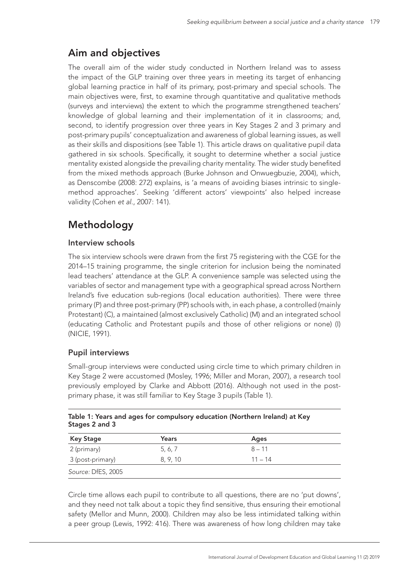# Aim and objectives

The overall aim of the wider study conducted in Northern Ireland was to assess the impact of the GLP training over three years in meeting its target of enhancing global learning practice in half of its primary, post-primary and special schools. The main objectives were, first, to examine through quantitative and qualitative methods (surveys and interviews) the extent to which the programme strengthened teachers' knowledge of global learning and their implementation of it in classrooms; and, second, to identify progression over three years in Key Stages 2 and 3 primary and post-primary pupils' conceptualization and awareness of global learning issues, as well as their skills and dispositions (see Table 1). This article draws on qualitative pupil data gathered in six schools. Specifically, it sought to determine whether a social justice mentality existed alongside the prevailing charity mentality. The wider study benefited from the mixed methods approach (Burke Johnson and Onwuegbuzie, 2004), which, as Denscombe (2008: 272) explains, is 'a means of avoiding biases intrinsic to singlemethod approaches'. Seeking 'different actors' viewpoints' also helped increase validity (Cohen *et al*., 2007: 141).

# Methodology

### Interview schools

The six interview schools were drawn from the first 75 registering with the CGE for the 2014–15 training programme, the single criterion for inclusion being the nominated lead teachers' attendance at the GLP. A convenience sample was selected using the variables of sector and management type with a geographical spread across Northern Ireland's five education sub-regions (local education authorities). There were three primary (P) and three post-primary (PP) schools with, in each phase, a controlled (mainly Protestant) (C), a maintained (almost exclusively Catholic) (M) and an integrated school (educating Catholic and Protestant pupils and those of other religions or none) (I) (NICIE, 1991).

#### Pupil interviews

Small-group interviews were conducted using circle time to which primary children in Key Stage 2 were accustomed (Mosley, 1996; Miller and Moran, 2007), a research tool previously employed by Clarke and Abbott (2016). Although not used in the postprimary phase, it was still familiar to Key Stage 3 pupils (Table 1).

| Table 1: Years and ages for compulsory education (Northern Ireland) at Key |  |
|----------------------------------------------------------------------------|--|
| Stages 2 and 3                                                             |  |

| <b>Key Stage</b>   | Years    | Ages      |  |
|--------------------|----------|-----------|--|
| 2 (primary)        | 5, 6, 7  | $8 - 11$  |  |
| 3 (post-primary)   | 8, 9, 10 | $11 - 14$ |  |
| Source: DfES, 2005 |          |           |  |

Circle time allows each pupil to contribute to all questions, there are no 'put downs', and they need not talk about a topic they find sensitive, thus ensuring their emotional safety (Mellor and Munn, 2000). Children may also be less intimidated talking within a peer group (Lewis, 1992: 416). There was awareness of how long children may take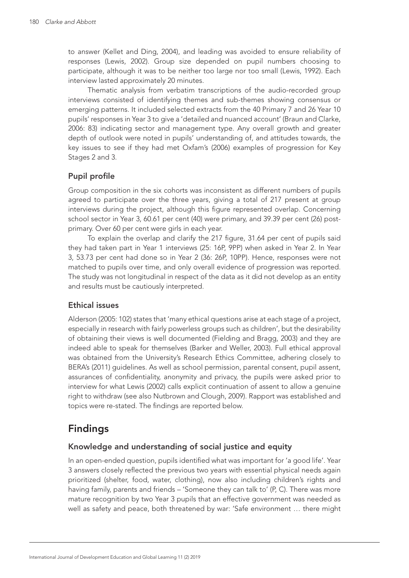to answer (Kellet and Ding, 2004), and leading was avoided to ensure reliability of responses (Lewis, 2002). Group size depended on pupil numbers choosing to participate, although it was to be neither too large nor too small (Lewis, 1992). Each interview lasted approximately 20 minutes.

Thematic analysis from verbatim transcriptions of the audio-recorded group interviews consisted of identifying themes and sub-themes showing consensus or emerging patterns. It included selected extracts from the 40 Primary 7 and 26 Year 10 pupils' responses in Year 3 to give a 'detailed and nuanced account' (Braun and Clarke, 2006: 83) indicating sector and management type. Any overall growth and greater depth of outlook were noted in pupils' understanding of, and attitudes towards, the key issues to see if they had met Oxfam's (2006) examples of progression for Key Stages 2 and 3.

### Pupil profile

Group composition in the six cohorts was inconsistent as different numbers of pupils agreed to participate over the three years, giving a total of 217 present at group interviews during the project, although this figure represented overlap. Concerning school sector in Year 3, 60.61 per cent (40) were primary, and 39.39 per cent (26) postprimary. Over 60 per cent were girls in each year.

To explain the overlap and clarify the 217 figure, 31.64 per cent of pupils said they had taken part in Year 1 interviews (25: 16P, 9PP) when asked in Year 2. In Year 3, 53.73 per cent had done so in Year 2 (36: 26P, 10PP). Hence, responses were not matched to pupils over time, and only overall evidence of progression was reported. The study was not longitudinal in respect of the data as it did not develop as an entity and results must be cautiously interpreted.

#### Ethical issues

Alderson (2005: 102) states that 'many ethical questions arise at each stage of a project, especially in research with fairly powerless groups such as children', but the desirability of obtaining their views is well documented (Fielding and Bragg, 2003) and they are indeed able to speak for themselves (Barker and Weller, 2003). Full ethical approval was obtained from the University's Research Ethics Committee, adhering closely to BERA's (2011) guidelines. As well as school permission, parental consent, pupil assent, assurances of confidentiality, anonymity and privacy, the pupils were asked prior to interview for what Lewis (2002) calls explicit continuation of assent to allow a genuine right to withdraw (see also Nutbrown and Clough, 2009). Rapport was established and topics were re-stated. The findings are reported below.

# Findings

#### Knowledge and understanding of social justice and equity

In an open-ended question, pupils identified what was important for 'a good life'. Year 3 answers closely reflected the previous two years with essential physical needs again prioritized (shelter, food, water, clothing), now also including children's rights and having family, parents and friends – 'Someone they can talk to' (P, C). There was more mature recognition by two Year 3 pupils that an effective government was needed as well as safety and peace, both threatened by war: 'Safe environment … there might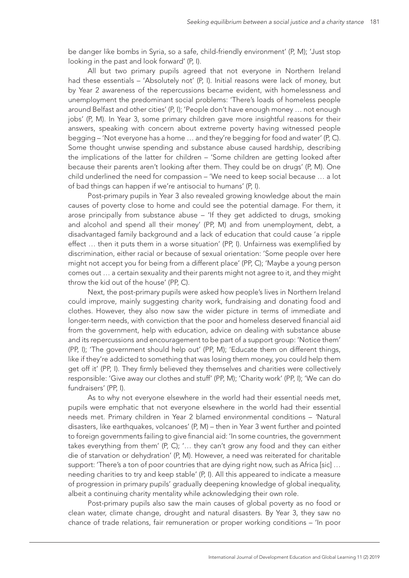be danger like bombs in Syria, so a safe, child-friendly environment' (P, M); 'Just stop looking in the past and look forward' (P, I).

All but two primary pupils agreed that not everyone in Northern Ireland had these essentials – 'Absolutely not' (P, I). Initial reasons were lack of money, but by Year 2 awareness of the repercussions became evident, with homelessness and unemployment the predominant social problems: 'There's loads of homeless people around Belfast and other cities' (P, I); 'People don't have enough money … not enough jobs' (P, M). In Year 3, some primary children gave more insightful reasons for their answers, speaking with concern about extreme poverty having witnessed people begging – 'Not everyone has a home … and they're begging for food and water' (P, C). Some thought unwise spending and substance abuse caused hardship, describing the implications of the latter for children – 'Some children are getting looked after because their parents aren't looking after them. They could be on drugs' (P, M). One child underlined the need for compassion – 'We need to keep social because … a lot of bad things can happen if we're antisocial to humans' (P, I).

Post-primary pupils in Year 3 also revealed growing knowledge about the main causes of poverty close to home and could see the potential damage. For them, it arose principally from substance abuse – 'If they get addicted to drugs, smoking and alcohol and spend all their money' (PP, M) and from unemployment, debt, a disadvantaged family background and a lack of education that could cause 'a ripple effect … then it puts them in a worse situation' (PP, I). Unfairness was exemplified by discrimination, either racial or because of sexual orientation: 'Some people over here might not accept you for being from a different place' (PP, C); 'Maybe a young person comes out … a certain sexuality and their parents might not agree to it, and they might throw the kid out of the house' (PP, C).

Next, the post-primary pupils were asked how people's lives in Northern Ireland could improve, mainly suggesting charity work, fundraising and donating food and clothes. However, they also now saw the wider picture in terms of immediate and longer-term needs, with conviction that the poor and homeless deserved financial aid from the government, help with education, advice on dealing with substance abuse and its repercussions and encouragement to be part of a support group: 'Notice them' (PP, I); 'The government should help out' (PP, M); 'Educate them on different things, like if they're addicted to something that was losing them money, you could help them get off it' (PP, I). They firmly believed they themselves and charities were collectively responsible: 'Give away our clothes and stuff' (PP, M); 'Charity work' (PP, I); 'We can do fundraisers' (PP, I).

As to why not everyone elsewhere in the world had their essential needs met, pupils were emphatic that not everyone elsewhere in the world had their essential needs met. Primary children in Year 2 blamed environmental conditions – *'*Natural disasters, like earthquakes, volcanoes' (P, M) – then in Year 3 went further and pointed to foreign governments failing to give financial aid: 'In some countries, the government takes everything from them' (P, C); '… they can't grow any food and they can either die of starvation or dehydration' (P, M). However, a need was reiterated for charitable support: 'There's a ton of poor countries that are dying right now, such as Africa [sic] … needing charities to try and keep stable' (P, I). All this appeared to indicate a measure of progression in primary pupils' gradually deepening knowledge of global inequality, albeit a continuing charity mentality while acknowledging their own role.

Post-primary pupils also saw the main causes of global poverty as no food or clean water, climate change, drought and natural disasters. By Year 3, they saw no chance of trade relations, fair remuneration or proper working conditions – 'In poor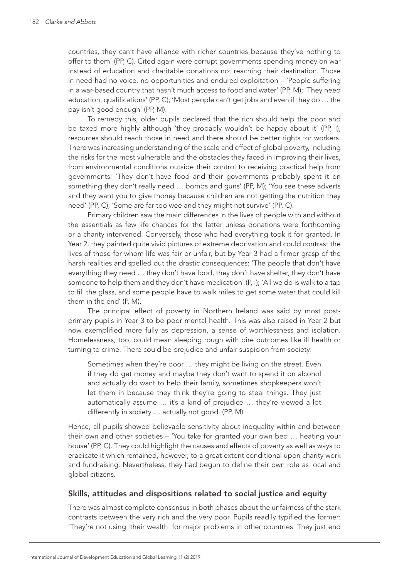countries, they can't have alliance with richer countries because they've nothing to offer to them' (PP, C). Cited again were corrupt governments spending money on war instead of education and charitable donations not reaching their destination. Those in need had no voice, no opportunities and endured exploitation – 'People suffering in a war-based country that hasn't much access to food and water' (PP, M); 'They need education, qualifications' (PP, C); 'Most people can't get jobs and even if they do … the pay isn't good enough' (PP, M).

To remedy this, older pupils declared that the rich should help the poor and be taxed more highly although 'they probably wouldn't be happy about it' (PP, I), resources should reach those in need and there should be better rights for workers. There was increasing understanding of the scale and effect of global poverty, including the risks for the most vulnerable and the obstacles they faced in improving their lives, from environmental conditions outside their control to receiving practical help from governments: 'They don't have food and their governments probably spent it on something they don't really need … bombs and guns' (PP, M); 'You see these adverts and they want you to give money because children are not getting the nutrition they need' (PP, C); 'Some are far too wee and they might not survive' (PP, C).

Primary children saw the main differences in the lives of people with and without the essentials as few life chances for the latter unless donations were forthcoming or a charity intervened. Conversely, those who had everything took it for granted. In Year 2, they painted quite vivid pictures of extreme deprivation and could contrast the lives of those for whom life was fair or unfair, but by Year 3 had a firmer grasp of the harsh realities and spelled out the drastic consequences: 'The people that don't have everything they need … they don't have food, they don't have shelter, they don't have someone to help them and they don't have medication' (P, I); 'All we do is walk to a tap to fill the glass, and some people have to walk miles to get some water that could kill them in the end' (P, M).

The principal effect of poverty in Northern Ireland was said by most postprimary pupils in Year 3 to be poor mental health. This was also raised in Year 2 but now exemplified more fully as depression, a sense of worthlessness and isolation. Homelessness, too, could mean sleeping rough with dire outcomes like ill health or turning to crime. There could be prejudice and unfair suspicion from society:

Sometimes when they're poor … they might be living on the street. Even if they do get money and maybe they don't want to spend it on alcohol and actually do want to help their family, sometimes shopkeepers won't let them in because they think they're going to steal things. They just automatically assume … it's a kind of prejudice … they're viewed a lot differently in society … actually not good. (PP, M)

Hence, all pupils showed believable sensitivity about inequality within and between their own and other societies – 'You take for granted your own bed … heating your house' (PP, C). They could highlight the causes and effects of poverty as well as ways to eradicate it which remained, however, to a great extent conditional upon charity work and fundraising. Nevertheless, they had begun to define their own role as local and global citizens.

#### Skills, attitudes and dispositions related to social justice and equity

There was almost complete consensus in both phases about the unfairness of the stark contrasts between the very rich and the very poor. Pupils readily typified the former: 'They're not using [their wealth] for major problems in other countries. They just end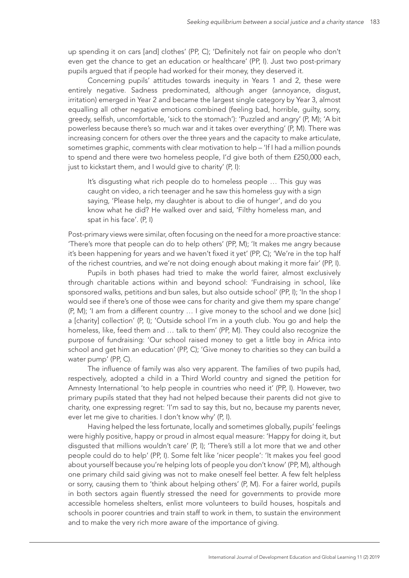up spending it on cars [and] clothes' (PP, C); 'Definitely not fair on people who don't even get the chance to get an education or healthcare' (PP, I). Just two post-primary pupils argued that if people had worked for their money, they deserved it.

Concerning pupils' attitudes towards inequity in Years 1 and 2, these were entirely negative. Sadness predominated, although anger (annoyance, disgust, irritation) emerged in Year 2 and became the largest single category by Year 3, almost equalling all other negative emotions combined (feeling bad, horrible, guilty, sorry, greedy, selfish, uncomfortable, 'sick to the stomach'): 'Puzzled and angry' (P, M); 'A bit powerless because there's so much war and it takes over everything' (P, M). There was increasing concern for others over the three years and the capacity to make articulate, sometimes graphic, comments with clear motivation to help – 'If I had a million pounds to spend and there were two homeless people, I'd give both of them £250,000 each, just to kickstart them, and I would give to charity' (P, I):

It's disgusting what rich people do to homeless people … This guy was caught on video, a rich teenager and he saw this homeless guy with a sign saying, 'Please help, my daughter is about to die of hunger', and do you know what he did? He walked over and said, 'Filthy homeless man, and spat in his face'. (P, I)

Post-primary views were similar, often focusing on the need for a more proactive stance: 'There's more that people can do to help others' (PP, M); 'It makes me angry because it's been happening for years and we haven't fixed it yet' (PP, C); 'We're in the top half of the richest countries, and we're not doing enough about making it more fair' (PP, I).

Pupils in both phases had tried to make the world fairer, almost exclusively through charitable actions within and beyond school: 'Fundraising in school, like sponsored walks, petitions and bun sales, but also outside school' (PP, I); 'In the shop I would see if there's one of those wee cans for charity and give them my spare change' (P, M); 'I am from a different country … I give money to the school and we done [sic] a [charity] collection' (P, I); 'Outside school I'm in a youth club. You go and help the homeless, like, feed them and … talk to them' (PP, M). They could also recognize the purpose of fundraising: 'Our school raised money to get a little boy in Africa into school and get him an education' (PP, C); 'Give money to charities so they can build a water pump' (PP, C).

The influence of family was also very apparent. The families of two pupils had, respectively, adopted a child in a Third World country and signed the petition for Amnesty International 'to help people in countries who need it' (PP, I). However, two primary pupils stated that they had not helped because their parents did not give to charity, one expressing regret: 'I'm sad to say this, but no, because my parents never, ever let me give to charities. I don't know why' (P, I).

Having helped the less fortunate, locally and sometimes globally, pupils' feelings were highly positive, happy or proud in almost equal measure: 'Happy for doing it, but disgusted that millions wouldn't care' (P, I); 'There's still a lot more that we and other people could do to help' (PP, I). Some felt like 'nicer people': 'It makes you feel good about yourself because you're helping lots of people you don't know' (PP, M), although one primary child said giving was not to make oneself feel better. A few felt helpless or sorry, causing them to 'think about helping others' (P, M). For a fairer world, pupils in both sectors again fluently stressed the need for governments to provide more accessible homeless shelters, enlist more volunteers to build houses, hospitals and schools in poorer countries and train staff to work in them, to sustain the environment and to make the very rich more aware of the importance of giving.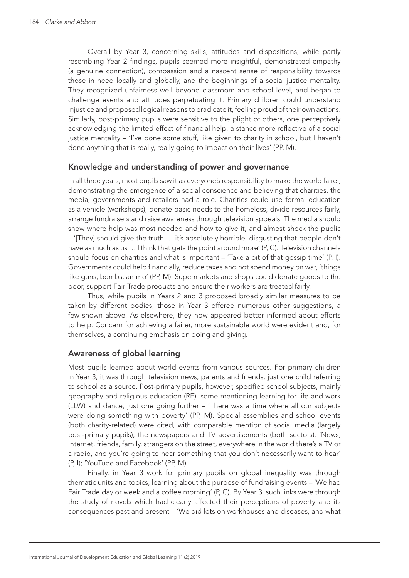Overall by Year 3, concerning skills, attitudes and dispositions, while partly resembling Year 2 findings, pupils seemed more insightful, demonstrated empathy (a genuine connection), compassion and a nascent sense of responsibility towards those in need locally and globally, and the beginnings of a social justice mentality. They recognized unfairness well beyond classroom and school level, and began to challenge events and attitudes perpetuating it. Primary children could understand injustice and proposed logical reasons to eradicate it, feeling proud of their own actions. Similarly, post-primary pupils were sensitive to the plight of others, one perceptively acknowledging the limited effect of financial help, a stance more reflective of a social justice mentality – 'I've done some stuff, like given to charity in school, but I haven't done anything that is really, really going to impact on their lives' (PP, M).

#### Knowledge and understanding of power and governance

In all three years, most pupils saw it as everyone's responsibility to make the world fairer, demonstrating the emergence of a social conscience and believing that charities, the media, governments and retailers had a role. Charities could use formal education as a vehicle (workshops), donate basic needs to the homeless, divide resources fairly, arrange fundraisers and raise awareness through television appeals. The media should show where help was most needed and how to give it, and almost shock the public – '[They] should give the truth … it's absolutely horrible, disgusting that people don't have as much as us ... I think that gets the point around more' (P, C). Television channels should focus on charities and what is important – 'Take a bit of that gossip time' (P, I). Governments could help financially, reduce taxes and not spend money on war, 'things like guns, bombs, ammo' (PP, M). Supermarkets and shops could donate goods to the poor, support Fair Trade products and ensure their workers are treated fairly.

Thus, while pupils in Years 2 and 3 proposed broadly similar measures to be taken by different bodies, those in Year 3 offered numerous other suggestions, a few shown above. As elsewhere, they now appeared better informed about efforts to help. Concern for achieving a fairer, more sustainable world were evident and, for themselves, a continuing emphasis on doing and giving.

#### Awareness of global learning

Most pupils learned about world events from various sources. For primary children in Year 3, it was through television news, parents and friends, just one child referring to school as a source. Post-primary pupils, however, specified school subjects, mainly geography and religious education (RE), some mentioning learning for life and work (LLW) and dance, just one going further – 'There was a time where all our subjects were doing something with poverty' (PP, M)*.* Special assemblies and school events (both charity-related) were cited, with comparable mention of social media (largely post-primary pupils), the newspapers and TV advertisements (both sectors): 'News, Internet, friends, family, strangers on the street, everywhere in the world there's a TV or a radio, and you're going to hear something that you don't necessarily want to hear' (P, I); 'YouTube and Facebook' (PP, M).

Finally, in Year 3 work for primary pupils on global inequality was through thematic units and topics, learning about the purpose of fundraising events – 'We had Fair Trade day or week and a coffee morning' (P, C). By Year 3, such links were through the study of novels which had clearly affected their perceptions of poverty and its consequences past and present – 'We did lots on workhouses and diseases, and what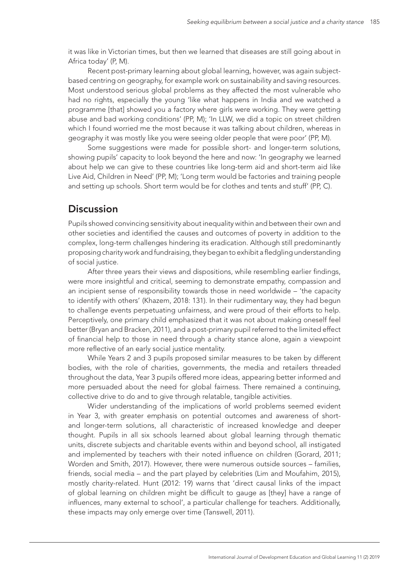it was like in Victorian times, but then we learned that diseases are still going about in Africa today' (P, M).

Recent post-primary learning about global learning, however, was again subjectbased centring on geography, for example work on sustainability and saving resources. Most understood serious global problems as they affected the most vulnerable who had no rights, especially the young 'like what happens in India and we watched a programme [that] showed you a factory where girls were working. They were getting abuse and bad working conditions' (PP, M); 'In LLW, we did a topic on street children which I found worried me the most because it was talking about children, whereas in geography it was mostly like you were seeing older people that were poor' (PP, M).

Some suggestions were made for possible short- and longer-term solutions, showing pupils' capacity to look beyond the here and now: 'In geography we learned about help we can give to these countries like long-term aid and short-term aid like Live Aid, Children in Need' (PP, M); 'Long term would be factories and training people and setting up schools. Short term would be for clothes and tents and stuff' (PP, C).

### **Discussion**

Pupils showed convincing sensitivity about inequality within and between their own and other societies and identified the causes and outcomes of poverty in addition to the complex, long-term challenges hindering its eradication. Although still predominantly proposing charity work and fundraising, they began to exhibit a fledgling understanding of social justice.

After three years their views and dispositions, while resembling earlier findings, were more insightful and critical, seeming to demonstrate empathy, compassion and an incipient sense of responsibility towards those in need worldwide – 'the capacity to identify with others' (Khazem, 2018: 131). In their rudimentary way, they had begun to challenge events perpetuating unfairness, and were proud of their efforts to help. Perceptively, one primary child emphasized that it was not about making oneself feel better (Bryan and Bracken, 2011), and a post-primary pupil referred to the limited effect of financial help to those in need through a charity stance alone, again a viewpoint more reflective of an early social justice mentality.

While Years 2 and 3 pupils proposed similar measures to be taken by different bodies, with the role of charities, governments, the media and retailers threaded throughout the data, Year 3 pupils offered more ideas, appearing better informed and more persuaded about the need for global fairness. There remained a continuing, collective drive to do and to give through relatable, tangible activities.

Wider understanding of the implications of world problems seemed evident in Year 3, with greater emphasis on potential outcomes and awareness of shortand longer-term solutions, all characteristic of increased knowledge and deeper thought. Pupils in all six schools learned about global learning through thematic units, discrete subjects and charitable events within and beyond school, all instigated and implemented by teachers with their noted influence on children (Gorard, 2011; Worden and Smith, 2017). However, there were numerous outside sources – families, friends, social media – and the part played by celebrities (Lim and Moufahim, 2015), mostly charity-related. Hunt (2012: 19) warns that 'direct causal links of the impact of global learning on children might be difficult to gauge as [they] have a range of influences, many external to school', a particular challenge for teachers. Additionally, these impacts may only emerge over time (Tanswell, 2011).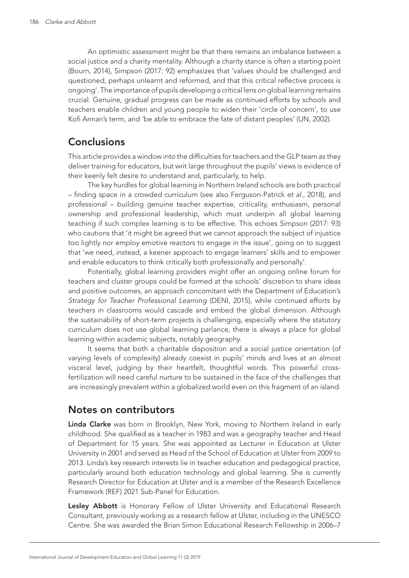An optimistic assessment might be that there remains an imbalance between a social justice and a charity mentality. Although a charity stance is often a starting point (Bourn, 2014), Simpson (2017: 92) emphasizes that 'values should be challenged and questioned, perhaps unlearnt and reformed, and that this critical reflective process is ongoing'. The importance of pupils developing a critical lens on global learning remains crucial. Genuine, gradual progress can be made as continued efforts by schools and teachers enable children and young people to widen their 'circle of concern', to use Kofi Annan's term, and 'be able to embrace the fate of distant peoples' (UN, 2002).

### **Conclusions**

This article provides a window into the difficulties for teachers and the GLP team as they deliver training for educators, but writ large throughout the pupils' views is evidence of their keenly felt desire to understand and, particularly, to help.

The key hurdles for global learning in Northern Ireland schools are both practical – finding space in a crowded curriculum (see also Ferguson-Patrick *et al*., 2018), and professional – building genuine teacher expertise, criticality, enthusiasm, personal ownership and professional leadership, which must underpin all global learning teaching if such complex learning is to be effective. This echoes Simpson (2017: 93) who cautions that 'it might be agreed that we cannot approach the subject of injustice too lightly nor employ emotive reactors to engage in the issue', going on to suggest that 'we need, instead, a keener approach to engage learners' skills and to empower and enable educators to think critically both professionally and personally'.

Potentially, global learning providers might offer an ongoing online forum for teachers and cluster groups could be formed at the schools' discretion to share ideas and positive outcomes, an approach concomitant with the Department of Education's *Strategy for Teacher Professional Learning* (DENI, 2015), while continued efforts by teachers in classrooms would cascade and embed the global dimension. Although the sustainability of short-term projects is challenging, especially where the statutory curriculum does not use global learning parlance, there is always a place for global learning within academic subjects, notably geography.

It seems that both a charitable disposition and a social justice orientation (of varying levels of complexity) already coexist in pupils' minds and lives at an almost visceral level, judging by their heartfelt, thoughtful words. This powerful crossfertilization will need careful nurture to be sustained in the face of the challenges that are increasingly prevalent within a globalized world even on this fragment of an island.

### Notes on contributors

Linda Clarke was born in Brooklyn, New York, moving to Northern Ireland in early childhood. She qualified as a teacher in 1983 and was a geography teacher and Head of Department for 15 years. She was appointed as Lecturer in Education at Ulster University in 2001 and served as Head of the School of Education at Ulster from 2009 to 2013. Linda's key research interests lie in teacher education and pedagogical practice, particularly around both education technology and global learning. She is currently Research Director for Education at Ulster and is a member of the Research Excellence Framework (REF) 2021 Sub-Panel for Education.

Lesley Abbott is Honorary Fellow of Ulster University and Educational Research Consultant, previously working as a research fellow at Ulster, including in the UNESCO Centre. She was awarded the Brian Simon Educational Research Fellowship in 2006–7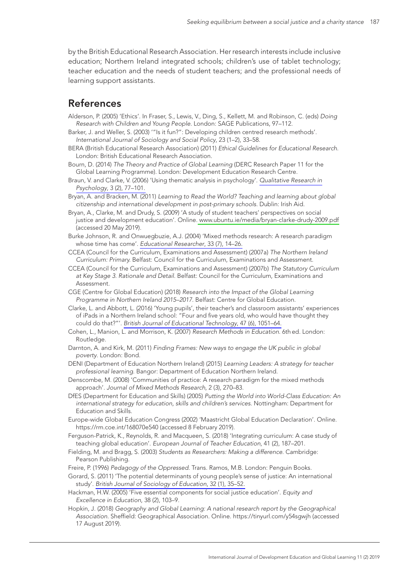by the British Educational Research Association. Her research interests include inclusive education; Northern Ireland integrated schools; children's use of tablet technology; teacher education and the needs of student teachers; and the professional needs of learning support assistants.

### References

- Alderson, P. (2005) 'Ethics'. In Fraser, S., Lewis, V., Ding, S., Kellett, M. and Robinson, C. (eds) *Doing Research with Children and Young People*. London: SAGE Publications, 97–112.
- Barker, J. and Weller, S. (2003) '"Is it fun?": Developing children centred research methods'. *International Journal of Sociology and Social Policy*, 23 (1–2), 33–58.
- BERA (British Educational Research Association) (2011) *Ethical Guidelines for Educational Research*. London: British Educational Research Association.
- Bourn, D. (2014) *The Theory and Practice of Global Learning* (DERC Research Paper 11 for the Global Learning Programme). London: Development Education Research Centre.
- Braun, V. and Clarke, V. (2006) 'Using thematic analysis in psychology'. *[Qualitative Research in](http://www.ingentaconnect.com/content/external-references?article=1478-0887()3:2L.77[aid=8530443]) Psychology*[, 3 \(2\), 77–101.](http://www.ingentaconnect.com/content/external-references?article=1478-0887()3:2L.77[aid=8530443])
- Bryan, A. and Bracken, M. (2011) *Learning to Read the World? Teaching and learning about global citizenship and international development in post-primary schools*. Dublin: Irish Aid.
- Bryan, A., Clarke, M. and Drudy, S. (2009) 'A study of student teachers' perspectives on social justice and development education'. Online. [www.ubuntu.ie/media/bryan-clarke-drudy-2009.pdf](http://www.ubuntu.ie/media/bryan-clarke-drudy-2009.pdf)  (accessed 20 May 2019).
- Burke Johnson, R. and Onwuegbuzie, A.J. (2004) 'Mixed methods research: A research paradigm whose time has come'. *[Educational Researcher](http://www.ingentaconnect.com/content/external-references?article=0013-189X()33:7L.14[aid=6957650])*, 33 (7), 14–26.
- CCEA (Council for the Curriculum, Examinations and Assessment) (2007a) *The Northern Ireland Curriculum: Primary.* Belfast: Council for the Curriculum, Examinations and Assessment.
- CCEA (Council for the Curriculum, Examinations and Assessment) (2007b) *The Statutory Curriculum at Key Stage 3. Rationale and Detail*. Belfast: Council for the Curriculum, Examinations and Assessment.
- CGE (Centre for Global Education) (2018) *Research into the Impact of the Global Learning Programme in Northern Ireland 2015–2017*. Belfast: Centre for Global Education.
- Clarke, L. and Abbott, L. (2016) 'Young pupils', their teacher's and classroom assistants' experiences of iPads in a Northern Ireland school: "Four and five years old, who would have thought they could do that?"'. *British Journal of [Educational Technology](http://www.ingentaconnect.com/content/external-references?article=0007-1013()47:6L.1051[aid=11276187])*, 47 (6), 1051–64.
- Cohen, L., Manion, L. and Morrison, K. (2007) *Research Methods in Education*. 6th ed. London: Routledge.
- Darnton, A. and Kirk, M. (2011) *Finding Frames: New ways to engage the UK public in global poverty*. London: Bond.
- DENI (Department of Education Northern Ireland) (2015) *Learning Leaders: A strategy for teacher professional learning*. Bangor: Department of Education Northern Ireland.
- Denscombe, M. (2008) 'Communities of practice: A research paradigm for the mixed methods approach'. *Journal of Mixed Methods Research*, 2 (3), 270–83.
- DfES (Department for Education and Skills) (2005) *Putting the World into World-Class Education: An international strategy for education, skills and children's services*. Nottingham: Department for Education and Skills.
- Europe-wide Global Education Congress (2002) 'Maastricht Global Education Declaration'. Online. https://rm.coe.int/168070e540 (accessed 8 February 2019).
- Ferguson-Patrick, K., Reynolds, R. and Macqueen, S. (2018) 'Integrating curriculum: A case study of teaching global education'. *European Journal of Teacher Education*, 41 (2), 187–201.
- Fielding, M. and Bragg, S. (2003) *Students as Researchers: Making a difference*. Cambridge: Pearson Publishing.
- Freire, P. (1996) *Pedagogy of the Oppressed*. Trans. Ramos, M.B. London: Penguin Books.
- Gorard, S. (2011) 'The potential determinants of young people's sense of justice: An international study'. *[British Journal of Sociology of Education](http://www.ingentaconnect.com/content/external-references?article=0142-5692()32:1L.35[aid=11276184])*, 32 (1), 35–52.
- Hackman, H.W. (2005) 'Five essential components for social justice education'. *Equity and Excellence in Education*, 38 (2), 103–9.
- Hopkin, J. (2018) *Geography and Global Learning: A national research report by the Geographical Association*. Sheffield: Geographical Association. Online. https://tinyurl.com/y54sgwjh (accessed 17 August 2019).